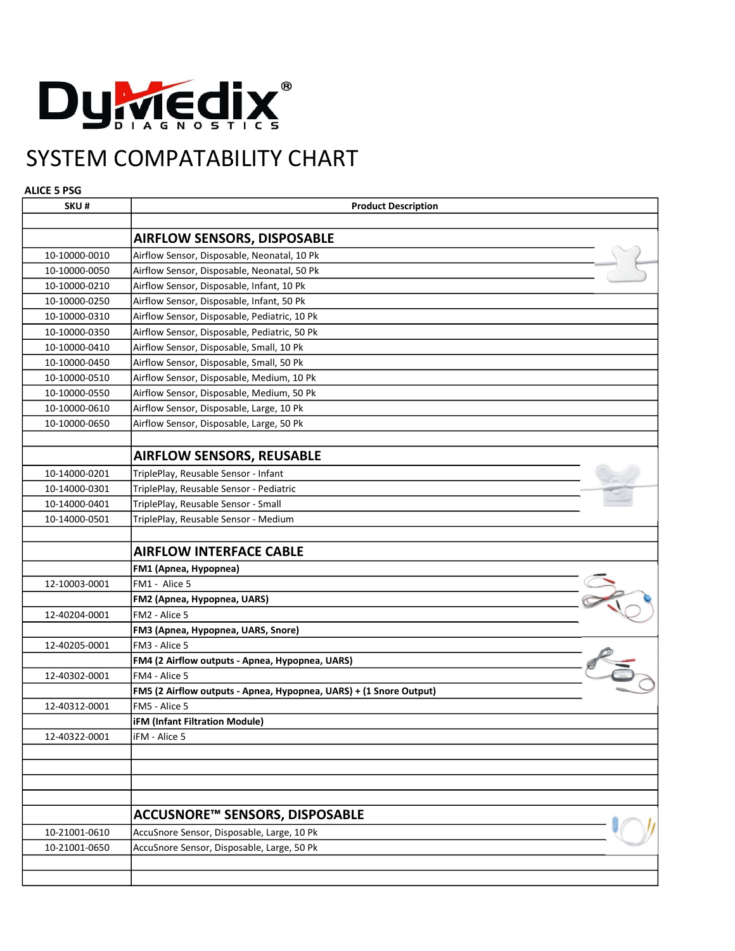

## SYSTEM COMPATABILITY CHART

## ALICE 5 PSG

| SKU#          | <b>Product Description</b>                                         |
|---------------|--------------------------------------------------------------------|
|               |                                                                    |
|               | <b>AIRFLOW SENSORS, DISPOSABLE</b>                                 |
| 10-10000-0010 | Airflow Sensor, Disposable, Neonatal, 10 Pk                        |
| 10-10000-0050 | Airflow Sensor, Disposable, Neonatal, 50 Pk                        |
| 10-10000-0210 | Airflow Sensor, Disposable, Infant, 10 Pk                          |
| 10-10000-0250 | Airflow Sensor, Disposable, Infant, 50 Pk                          |
| 10-10000-0310 | Airflow Sensor, Disposable, Pediatric, 10 Pk                       |
| 10-10000-0350 | Airflow Sensor, Disposable, Pediatric, 50 Pk                       |
| 10-10000-0410 | Airflow Sensor, Disposable, Small, 10 Pk                           |
| 10-10000-0450 | Airflow Sensor, Disposable, Small, 50 Pk                           |
| 10-10000-0510 | Airflow Sensor, Disposable, Medium, 10 Pk                          |
| 10-10000-0550 | Airflow Sensor, Disposable, Medium, 50 Pk                          |
| 10-10000-0610 | Airflow Sensor, Disposable, Large, 10 Pk                           |
| 10-10000-0650 | Airflow Sensor, Disposable, Large, 50 Pk                           |
|               |                                                                    |
|               | <b>AIRFLOW SENSORS, REUSABLE</b>                                   |
| 10-14000-0201 | TriplePlay, Reusable Sensor - Infant                               |
| 10-14000-0301 | TriplePlay, Reusable Sensor - Pediatric                            |
| 10-14000-0401 | TriplePlay, Reusable Sensor - Small                                |
| 10-14000-0501 | TriplePlay, Reusable Sensor - Medium                               |
|               |                                                                    |
|               | <b>AIRFLOW INTERFACE CABLE</b>                                     |
|               | FM1 (Apnea, Hypopnea)                                              |
| 12-10003-0001 | FM1 - Alice 5                                                      |
|               | FM2 (Apnea, Hypopnea, UARS)                                        |
| 12-40204-0001 | FM2 - Alice 5                                                      |
|               | FM3 (Apnea, Hypopnea, UARS, Snore)                                 |
| 12-40205-0001 | FM3 - Alice 5                                                      |
|               | FM4 (2 Airflow outputs - Apnea, Hypopnea, UARS)                    |
| 12-40302-0001 | FM4 - Alice 5                                                      |
|               | FM5 (2 Airflow outputs - Apnea, Hypopnea, UARS) + (1 Snore Output) |
| 12-40312-0001 | FM5 - Alice 5                                                      |
|               | <b>iFM (Infant Filtration Module)</b>                              |
| 12-40322-0001 | IFM - Alice 5                                                      |
|               |                                                                    |
|               |                                                                    |
|               |                                                                    |
|               | ACCUSNORE™ SENSORS, DISPOSABLE                                     |
| 10-21001-0610 | AccuSnore Sensor, Disposable, Large, 10 Pk                         |
| 10-21001-0650 | AccuSnore Sensor, Disposable, Large, 50 Pk                         |
|               |                                                                    |
|               |                                                                    |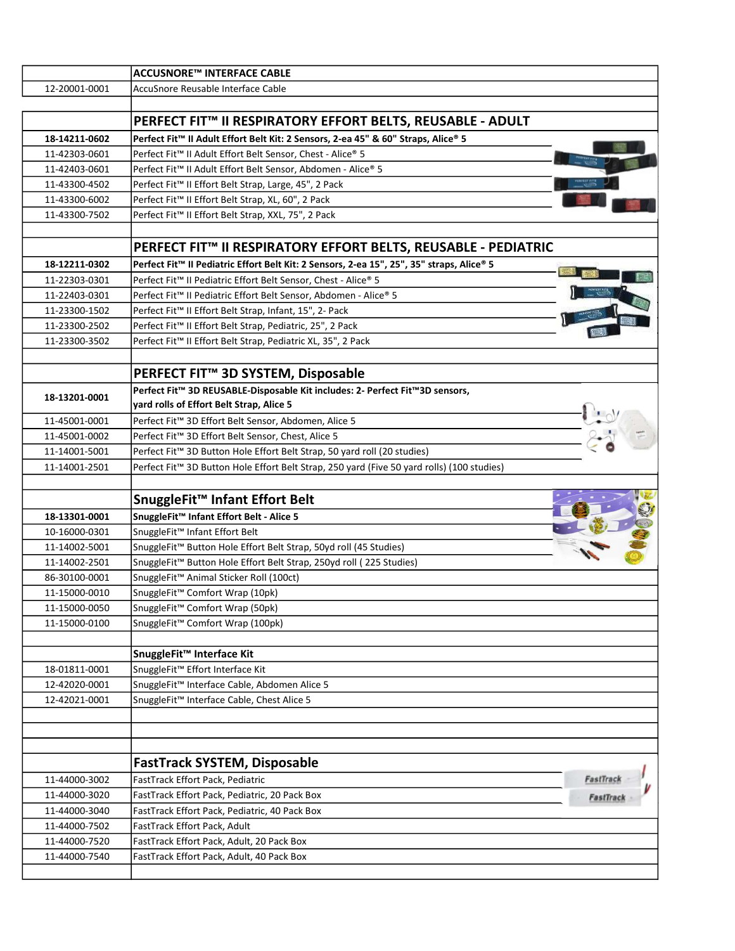| 12-20001-0001<br>AccuSnore Reusable Interface Cable<br>PERFECT FIT™ II RESPIRATORY EFFORT BELTS, REUSABLE - ADULT<br>Perfect Fit™ II Adult Effort Belt Kit: 2 Sensors, 2-ea 45" & 60" Straps, Alice® 5<br>18-14211-0602<br>Perfect Fit™ II Adult Effort Belt Sensor, Chest - Alice® 5<br>11-42303-0601<br>Perfect Fit™ II Adult Effort Belt Sensor, Abdomen - Alice® 5<br>11-42403-0601<br>Perfect Fit™ II Effort Belt Strap, Large, 45", 2 Pack<br>11-43300-4502<br>Perfect Fit™ II Effort Belt Strap, XL, 60", 2 Pack<br>11-43300-6002<br>Perfect Fit™ II Effort Belt Strap, XXL, 75", 2 Pack<br>11-43300-7502<br>PERFECT FIT™ II RESPIRATORY EFFORT BELTS, REUSABLE - PEDIATRIC<br>Perfect Fit™ II Pediatric Effort Belt Kit: 2 Sensors, 2-ea 15", 25", 35" straps, Alice® 5<br>18-12211-0302<br>Perfect Fit™ II Pediatric Effort Belt Sensor, Chest - Alice® 5<br>11-22303-0301 |
|-------------------------------------------------------------------------------------------------------------------------------------------------------------------------------------------------------------------------------------------------------------------------------------------------------------------------------------------------------------------------------------------------------------------------------------------------------------------------------------------------------------------------------------------------------------------------------------------------------------------------------------------------------------------------------------------------------------------------------------------------------------------------------------------------------------------------------------------------------------------------------------|
|                                                                                                                                                                                                                                                                                                                                                                                                                                                                                                                                                                                                                                                                                                                                                                                                                                                                                     |
|                                                                                                                                                                                                                                                                                                                                                                                                                                                                                                                                                                                                                                                                                                                                                                                                                                                                                     |
|                                                                                                                                                                                                                                                                                                                                                                                                                                                                                                                                                                                                                                                                                                                                                                                                                                                                                     |
|                                                                                                                                                                                                                                                                                                                                                                                                                                                                                                                                                                                                                                                                                                                                                                                                                                                                                     |
|                                                                                                                                                                                                                                                                                                                                                                                                                                                                                                                                                                                                                                                                                                                                                                                                                                                                                     |
|                                                                                                                                                                                                                                                                                                                                                                                                                                                                                                                                                                                                                                                                                                                                                                                                                                                                                     |
|                                                                                                                                                                                                                                                                                                                                                                                                                                                                                                                                                                                                                                                                                                                                                                                                                                                                                     |
|                                                                                                                                                                                                                                                                                                                                                                                                                                                                                                                                                                                                                                                                                                                                                                                                                                                                                     |
|                                                                                                                                                                                                                                                                                                                                                                                                                                                                                                                                                                                                                                                                                                                                                                                                                                                                                     |
|                                                                                                                                                                                                                                                                                                                                                                                                                                                                                                                                                                                                                                                                                                                                                                                                                                                                                     |
|                                                                                                                                                                                                                                                                                                                                                                                                                                                                                                                                                                                                                                                                                                                                                                                                                                                                                     |
|                                                                                                                                                                                                                                                                                                                                                                                                                                                                                                                                                                                                                                                                                                                                                                                                                                                                                     |
|                                                                                                                                                                                                                                                                                                                                                                                                                                                                                                                                                                                                                                                                                                                                                                                                                                                                                     |
| Perfect Fit™ II Pediatric Effort Belt Sensor, Abdomen - Alice® 5<br>11-22403-0301                                                                                                                                                                                                                                                                                                                                                                                                                                                                                                                                                                                                                                                                                                                                                                                                   |
| Perfect Fit <sup>™</sup> II Effort Belt Strap, Infant, 15", 2- Pack<br>11-23300-1502                                                                                                                                                                                                                                                                                                                                                                                                                                                                                                                                                                                                                                                                                                                                                                                                |
| Perfect Fit™ II Effort Belt Strap, Pediatric, 25", 2 Pack<br>11-23300-2502                                                                                                                                                                                                                                                                                                                                                                                                                                                                                                                                                                                                                                                                                                                                                                                                          |
| Perfect Fit™ II Effort Belt Strap, Pediatric XL, 35", 2 Pack<br>11-23300-3502                                                                                                                                                                                                                                                                                                                                                                                                                                                                                                                                                                                                                                                                                                                                                                                                       |
|                                                                                                                                                                                                                                                                                                                                                                                                                                                                                                                                                                                                                                                                                                                                                                                                                                                                                     |
| PERFECT FIT™ 3D SYSTEM, Disposable                                                                                                                                                                                                                                                                                                                                                                                                                                                                                                                                                                                                                                                                                                                                                                                                                                                  |
| Perfect Fit™ 3D REUSABLE-Disposable Kit includes: 2- Perfect Fit™3D sensors,<br>18-13201-0001                                                                                                                                                                                                                                                                                                                                                                                                                                                                                                                                                                                                                                                                                                                                                                                       |
| yard rolls of Effort Belt Strap, Alice 5                                                                                                                                                                                                                                                                                                                                                                                                                                                                                                                                                                                                                                                                                                                                                                                                                                            |
| Perfect Fit™ 3D Effort Belt Sensor, Abdomen, Alice 5<br>11-45001-0001                                                                                                                                                                                                                                                                                                                                                                                                                                                                                                                                                                                                                                                                                                                                                                                                               |
| 11-45001-0002<br>Perfect Fit™ 3D Effort Belt Sensor, Chest, Alice 5                                                                                                                                                                                                                                                                                                                                                                                                                                                                                                                                                                                                                                                                                                                                                                                                                 |
| Perfect Fit <sup>™</sup> 3D Button Hole Effort Belt Strap, 50 yard roll (20 studies)<br>11-14001-5001                                                                                                                                                                                                                                                                                                                                                                                                                                                                                                                                                                                                                                                                                                                                                                               |
| Perfect Fit™ 3D Button Hole Effort Belt Strap, 250 yard (Five 50 yard rolls) (100 studies)<br>11-14001-2501                                                                                                                                                                                                                                                                                                                                                                                                                                                                                                                                                                                                                                                                                                                                                                         |
| SnuggleFit <sup>™</sup> Infant Effort Belt                                                                                                                                                                                                                                                                                                                                                                                                                                                                                                                                                                                                                                                                                                                                                                                                                                          |
| SnuggleFit™ Infant Effort Belt - Alice 5<br>18-13301-0001                                                                                                                                                                                                                                                                                                                                                                                                                                                                                                                                                                                                                                                                                                                                                                                                                           |
| SnuggleFit™ Infant Effort Belt<br>10-16000-0301                                                                                                                                                                                                                                                                                                                                                                                                                                                                                                                                                                                                                                                                                                                                                                                                                                     |
| SnuggleFit™ Button Hole Effort Belt Strap, 50yd roll (45 Studies)<br>11-14002-5001                                                                                                                                                                                                                                                                                                                                                                                                                                                                                                                                                                                                                                                                                                                                                                                                  |
|                                                                                                                                                                                                                                                                                                                                                                                                                                                                                                                                                                                                                                                                                                                                                                                                                                                                                     |
|                                                                                                                                                                                                                                                                                                                                                                                                                                                                                                                                                                                                                                                                                                                                                                                                                                                                                     |
| SnuggleFit <sup>™</sup> Button Hole Effort Belt Strap, 250yd roll (225 Studies)<br>11-14002-2501                                                                                                                                                                                                                                                                                                                                                                                                                                                                                                                                                                                                                                                                                                                                                                                    |
| SnuggleFit™ Animal Sticker Roll (100ct)<br>86-30100-0001                                                                                                                                                                                                                                                                                                                                                                                                                                                                                                                                                                                                                                                                                                                                                                                                                            |
| 11-15000-0010<br>SnuggleFit <sup>™</sup> Comfort Wrap (10pk)                                                                                                                                                                                                                                                                                                                                                                                                                                                                                                                                                                                                                                                                                                                                                                                                                        |
| 11-15000-0050<br>SnuggleFit™ Comfort Wrap (50pk)<br>11-15000-0100                                                                                                                                                                                                                                                                                                                                                                                                                                                                                                                                                                                                                                                                                                                                                                                                                   |
| SnuggleFit <sup>™</sup> Comfort Wrap (100pk)                                                                                                                                                                                                                                                                                                                                                                                                                                                                                                                                                                                                                                                                                                                                                                                                                                        |
| SnuggleFit™ Interface Kit                                                                                                                                                                                                                                                                                                                                                                                                                                                                                                                                                                                                                                                                                                                                                                                                                                                           |
| SnuggleFit™ Effort Interface Kit<br>18-01811-0001                                                                                                                                                                                                                                                                                                                                                                                                                                                                                                                                                                                                                                                                                                                                                                                                                                   |
| 12-42020-0001<br>SnuggleFit <sup>™</sup> Interface Cable, Abdomen Alice 5                                                                                                                                                                                                                                                                                                                                                                                                                                                                                                                                                                                                                                                                                                                                                                                                           |
| 12-42021-0001<br>SnuggleFit™ Interface Cable, Chest Alice 5                                                                                                                                                                                                                                                                                                                                                                                                                                                                                                                                                                                                                                                                                                                                                                                                                         |
|                                                                                                                                                                                                                                                                                                                                                                                                                                                                                                                                                                                                                                                                                                                                                                                                                                                                                     |
|                                                                                                                                                                                                                                                                                                                                                                                                                                                                                                                                                                                                                                                                                                                                                                                                                                                                                     |
|                                                                                                                                                                                                                                                                                                                                                                                                                                                                                                                                                                                                                                                                                                                                                                                                                                                                                     |
| <b>FastTrack SYSTEM, Disposable</b>                                                                                                                                                                                                                                                                                                                                                                                                                                                                                                                                                                                                                                                                                                                                                                                                                                                 |
| FastTrack Effort Pack, Pediatric<br>11-44000-3002                                                                                                                                                                                                                                                                                                                                                                                                                                                                                                                                                                                                                                                                                                                                                                                                                                   |
| 11-44000-3020<br>FastTrack Effort Pack, Pediatric, 20 Pack Box<br><b>FastTrac</b>                                                                                                                                                                                                                                                                                                                                                                                                                                                                                                                                                                                                                                                                                                                                                                                                   |
| 11-44000-3040<br>FastTrack Effort Pack, Pediatric, 40 Pack Box                                                                                                                                                                                                                                                                                                                                                                                                                                                                                                                                                                                                                                                                                                                                                                                                                      |
| 11-44000-7502<br>FastTrack Effort Pack, Adult                                                                                                                                                                                                                                                                                                                                                                                                                                                                                                                                                                                                                                                                                                                                                                                                                                       |
| 11-44000-7520<br>FastTrack Effort Pack, Adult, 20 Pack Box<br>11-44000-7540<br>FastTrack Effort Pack, Adult, 40 Pack Box                                                                                                                                                                                                                                                                                                                                                                                                                                                                                                                                                                                                                                                                                                                                                            |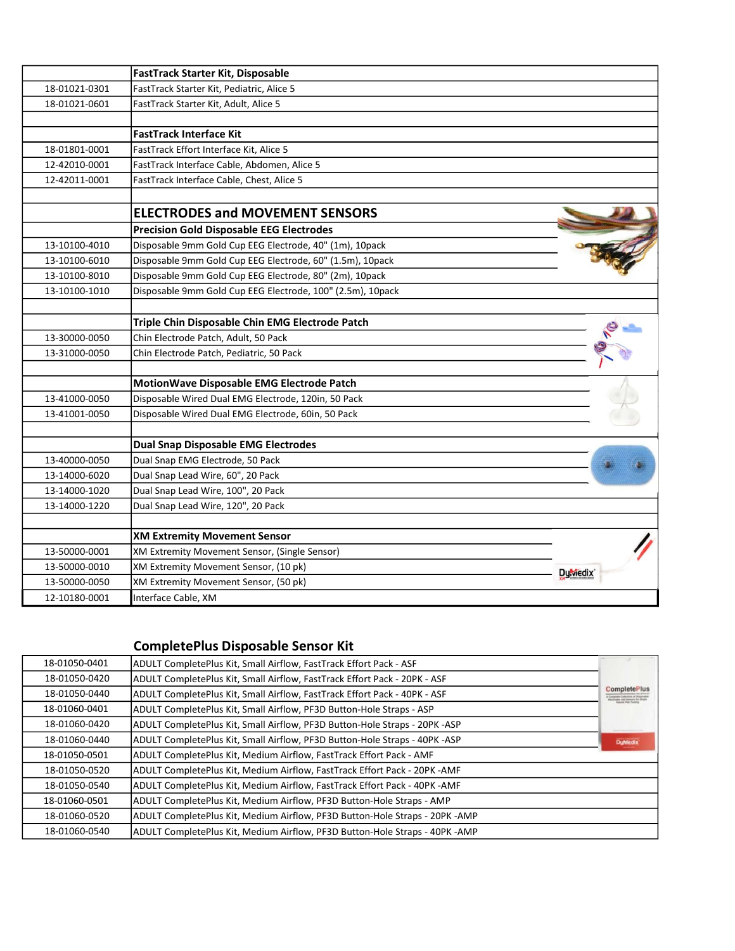|               | <b>FastTrack Starter Kit, Disposable</b>                   |                        |
|---------------|------------------------------------------------------------|------------------------|
| 18-01021-0301 | FastTrack Starter Kit, Pediatric, Alice 5                  |                        |
| 18-01021-0601 | FastTrack Starter Kit, Adult, Alice 5                      |                        |
|               | <b>FastTrack Interface Kit</b>                             |                        |
| 18-01801-0001 | FastTrack Effort Interface Kit, Alice 5                    |                        |
| 12-42010-0001 | FastTrack Interface Cable, Abdomen, Alice 5                |                        |
| 12-42011-0001 | FastTrack Interface Cable, Chest, Alice 5                  |                        |
|               |                                                            |                        |
|               | <b>ELECTRODES and MOVEMENT SENSORS</b>                     |                        |
|               | <b>Precision Gold Disposable EEG Electrodes</b>            |                        |
| 13-10100-4010 | Disposable 9mm Gold Cup EEG Electrode, 40" (1m), 10pack    |                        |
| 13-10100-6010 | Disposable 9mm Gold Cup EEG Electrode, 60" (1.5m), 10pack  |                        |
| 13-10100-8010 | Disposable 9mm Gold Cup EEG Electrode, 80" (2m), 10pack    |                        |
| 13-10100-1010 | Disposable 9mm Gold Cup EEG Electrode, 100" (2.5m), 10pack |                        |
|               | Triple Chin Disposable Chin EMG Electrode Patch            |                        |
| 13-30000-0050 | Chin Electrode Patch, Adult, 50 Pack                       |                        |
| 13-31000-0050 | Chin Electrode Patch, Pediatric, 50 Pack                   |                        |
|               | MotionWave Disposable EMG Electrode Patch                  |                        |
| 13-41000-0050 | Disposable Wired Dual EMG Electrode, 120in, 50 Pack        |                        |
| 13-41001-0050 | Disposable Wired Dual EMG Electrode, 60in, 50 Pack         |                        |
|               | <b>Dual Snap Disposable EMG Electrodes</b>                 |                        |
| 13-40000-0050 | Dual Snap EMG Electrode, 50 Pack                           |                        |
| 13-14000-6020 | Dual Snap Lead Wire, 60", 20 Pack                          |                        |
| 13-14000-1020 | Dual Snap Lead Wire, 100", 20 Pack                         |                        |
| 13-14000-1220 | Dual Snap Lead Wire, 120", 20 Pack                         |                        |
|               | <b>XM Extremity Movement Sensor</b>                        |                        |
| 13-50000-0001 | XM Extremity Movement Sensor, (Single Sensor)              |                        |
| 13-50000-0010 | XM Extremity Movement Sensor, (10 pk)                      |                        |
| 13-50000-0050 | XM Extremity Movement Sensor, (50 pk)                      | <b>Dy</b> <i>Medix</i> |
| 12-10180-0001 | Interface Cable, XM                                        |                        |

## CompletePlus Disposable Sensor Kit

| 18-01050-0401 | ADULT CompletePlus Kit, Small Airflow, FastTrack Effort Pack - ASF          |                     |
|---------------|-----------------------------------------------------------------------------|---------------------|
| 18-01050-0420 | ADULT CompletePlus Kit, Small Airflow, FastTrack Effort Pack - 20PK - ASF   |                     |
| 18-01050-0440 | ADULT CompletePlus Kit, Small Airflow, FastTrack Effort Pack - 40PK - ASF   | <b>CompletePlus</b> |
| 18-01060-0401 | ADULT CompletePlus Kit, Small Airflow, PF3D Button-Hole Straps - ASP        |                     |
| 18-01060-0420 | ADULT CompletePlus Kit, Small Airflow, PF3D Button-Hole Straps - 20PK -ASP  |                     |
| 18-01060-0440 | ADULT CompletePlus Kit, Small Airflow, PF3D Button-Hole Straps - 40PK -ASP  | <b>DuMedix</b>      |
| 18-01050-0501 | ADULT CompletePlus Kit, Medium Airflow, FastTrack Effort Pack - AMF         |                     |
| 18-01050-0520 | ADULT CompletePlus Kit, Medium Airflow, FastTrack Effort Pack - 20PK - AMF  |                     |
| 18-01050-0540 | ADULT CompletePlus Kit, Medium Airflow, FastTrack Effort Pack - 40PK - AMF  |                     |
| 18-01060-0501 | ADULT CompletePlus Kit, Medium Airflow, PF3D Button-Hole Straps - AMP       |                     |
| 18-01060-0520 | ADULT CompletePlus Kit, Medium Airflow, PF3D Button-Hole Straps - 20PK -AMP |                     |
| 18-01060-0540 | ADULT CompletePlus Kit, Medium Airflow, PF3D Button-Hole Straps - 40PK -AMP |                     |